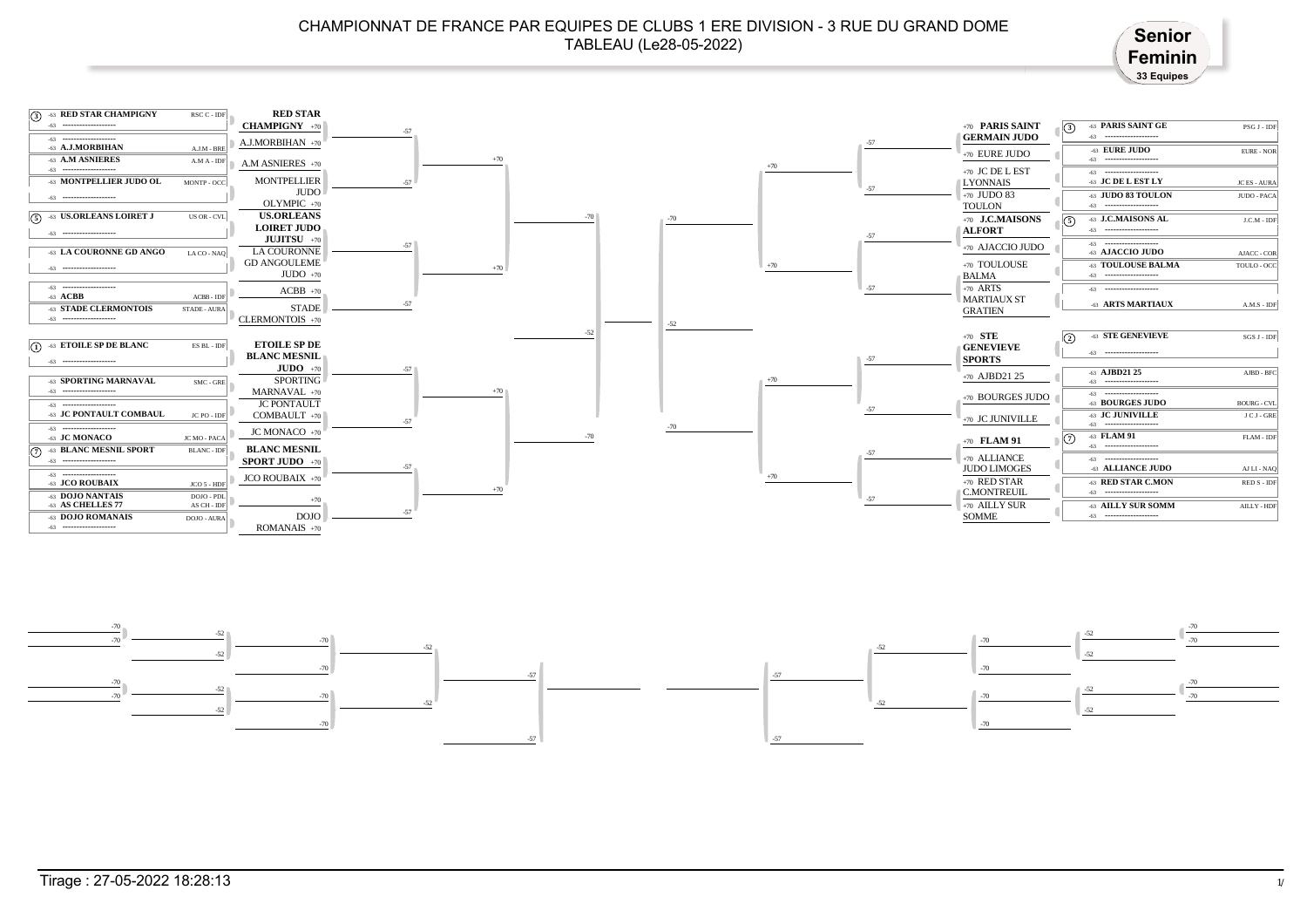## CHAMPIONNAT DE FRANCE PAR EQUIPES DE CLUBS 1 ERE DIVISION - 3 RUE DU GRAND DOME TABLEAU (Le28-05-2022)<br>TABLEAU (Le28-05-2022)